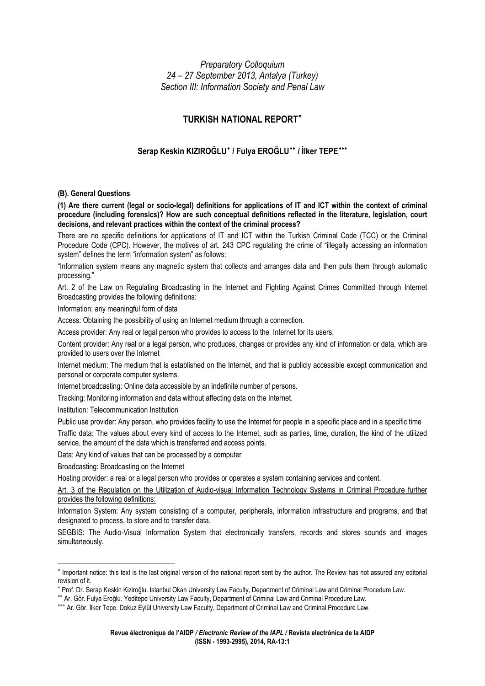*Preparatory Colloquium 24 – 27 September 2013, Antalya (Turkey) Section III: Information Society and Penal Law* 

# **TURKISH NATIONAL REPORT**[∗](#page-0-0)

## **Serap Keskin KIZIROĞLU**[∗](#page-0-1)  **/ Fulya EROĞLU**[∗∗](#page-0-2) **/ İlker TEPE**[∗∗∗](#page-0-3)

### **(B). General Questions**

**(1) Are there current (legal or socio-legal) definitions for applications of IT and ICT within the context of criminal procedure (including forensics)? How are such conceptual definitions reflected in the literature, legislation, court decisions, and relevant practices within the context of the criminal process?** 

There are no specific definitions for applications of IT and ICT within the Turkish Criminal Code (TCC) or the Criminal Procedure Code (CPC). However, the motives of art. 243 CPC regulating the crime of "illegally accessing an information system" defines the term "information system" as follows:

"Information system means any magnetic system that collects and arranges data and then puts them through automatic processing."

Art. 2 of the Law on Regulating Broadcasting in the Internet and Fighting Against Crimes Committed through Internet Broadcasting provides the following definitions:

Information: any meaningful form of data

Access: Obtaining the possibility of using an Internet medium through a connection.

Access provider: Any real or legal person who provides to access to the Internet for its users.

Content provider: Any real or a legal person, who produces, changes or provides any kind of information or data, which are provided to users over the Internet

Internet medium: The medium that is established on the Internet, and that is publicly accessible except communication and personal or corporate computer systems.

Internet broadcasting: Online data accessible by an indefinite number of persons.

Tracking: Monitoring information and data without affecting data on the Internet.

Institution: Telecommunication Institution

Public use provider: Any person, who provides facility to use the Internet for people in a specific place and in a specific time

Traffic data: The values about every kind of access to the Internet, such as parties, time, duration, the kind of the utilized service, the amount of the data which is transferred and access points.

Data: Any kind of values that can be processed by a computer

Broadcasting: Broadcasting on the Internet

Hosting provider: a real or a legal person who provides or operates a system containing services and content.

Art. 3 of the Regulation on the Utilization of Audio-visual Information Technology Systems in Criminal Procedure further provides the following definitions:

Information System: Any system consisting of a computer, peripherals, information infrastructure and programs, and that designated to process, to store and to transfer data.

SEGBIS: The Audio-Visual Information System that electronically transfers, records and stores sounds and images simultaneously.

<span id="page-0-0"></span><sup>∗</sup> Important notice: this text is the last original version of the national report sent by the author. The Review has not assured any editorial revision of it.

<span id="page-0-1"></span><sup>∗</sup> Prof. Dr. Serap Keskin Kiziroğlu. Istanbul Okan University Law Faculty, Department of Criminal Law and Criminal Procedure Law.

<span id="page-0-2"></span><sup>∗∗</sup> Ar. Gör. Fulya Eroğlu. Yeditepe University Law Faculty, Department of Criminal Law and Criminal Procedure Law.

<span id="page-0-3"></span><sup>∗∗∗</sup> Ar. Gör. İlker Tepe. Dokuz Eylül University Law Faculty, Department of Criminal Law and Criminal Procedure Law.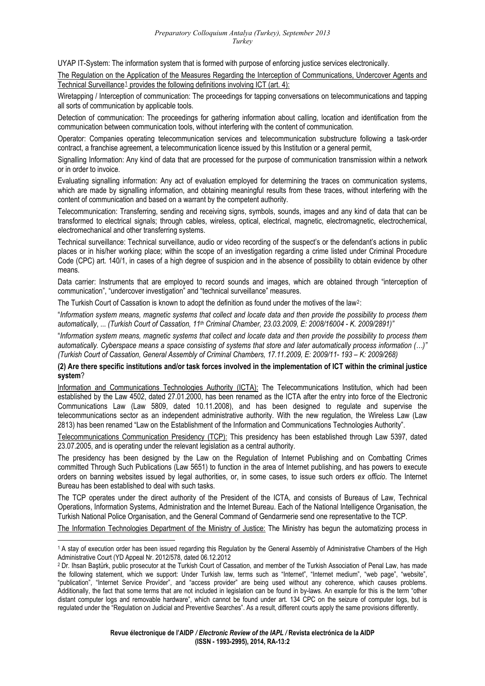UYAP IT-System: The information system that is formed with purpose of enforcing justice services electronically.

The Regulation on the Application of the Measures Regarding the Interception of Communications, Undercover Agents and Technical Surveillance<sup>[1](#page-1-0)</sup> provides the following definitions involving ICT (art. 4):

Wiretapping / Interception of communication: The proceedings for tapping conversations on telecommunications and tapping all sorts of communication by applicable tools.

Detection of communication: The proceedings for gathering information about calling, location and identification from the communication between communication tools, without interfering with the content of communication.

Operator: Companies operating telecommunication services and telecommunication substructure following a task-order contract, a franchise agreement, a telecommunication licence issued by this Institution or a general permit,

Signalling Information: Any kind of data that are processed for the purpose of communication transmission within a network or in order to invoice.

Evaluating signalling information: Any act of evaluation employed for determining the traces on communication systems, which are made by signalling information, and obtaining meaningful results from these traces, without interfering with the content of communication and based on a warrant by the competent authority.

Telecommunication: Transferring, sending and receiving signs, symbols, sounds, images and any kind of data that can be transformed to electrical signals; through cables, wireless, optical, electrical, magnetic, electromagnetic, electrochemical, electromechanical and other transferring systems.

Technical surveillance: Technical surveillance, audio or video recording of the suspect's or the defendant's actions in public places or in his/her working place; within the scope of an investigation regarding a crime listed under Criminal Procedure Code (CPC) art. 140/1, in cases of a high degree of suspicion and in the absence of possibility to obtain evidence by other means.

Data carrier: Instruments that are employed to record sounds and images, which are obtained through "interception of communication", "undercover investigation" and "technical surveillance" measures.

The Turkish Court of Cassation is known to adopt the definition as found under the motives of the law<sup>[2](#page-1-1)</sup>:

"*Information system means, magnetic systems that collect and locate data and then provide the possibility to process them automatically*, ... *(Turkish Court of Cassation, 11th Criminal Chamber, 23.03.2009, E: 2008/16004 - K. 2009/2891)"* 

"*Information system means, magnetic systems that collect and locate data and then provide the possibility to process them automatically. Cyberspace means a space consisting of systems that store and later automatically process information (…)" (Turkish Court of Cassation, General Assembly of Criminal Chambers, 17.11.2009, E: 2009/11- 193 – K: 2009/268)* 

### **(2) Are there specific institutions and/or task forces involved in the implementation of ICT within the criminal justice system**?

Information and Communications Technologies Authority (ICTA): The Telecommunications Institution, which had been established by the Law 4502, dated 27.01.2000, has been renamed as the ICTA after the entry into force of the Electronic Communications Law (Law 5809, dated 10.11.2008), and has been designed to regulate and supervise the telecommunications sector as an independent administrative authority. With the new regulation, the Wireless Law (Law 2813) has been renamed "Law on the Establishment of the Information and Communications Technologies Authority".

Telecommunications Communication Presidency (TCP): This presidency has been established through Law 5397, dated 23.07.2005, and is operating under the relevant legislation as a central authority.

The presidency has been designed by the Law on the Regulation of Internet Publishing and on Combatting Crimes committed Through Such Publications (Law 5651) to function in the area of Internet publishing, and has powers to execute orders on banning websites issued by legal authorities, or, in some cases, to issue such orders *ex officio*. The Internet Bureau has been established to deal with such tasks.

The TCP operates under the direct authority of the President of the ICTA, and consists of Bureaus of Law, Technical Operations, Information Systems, Administration and the Internet Bureau. Each of the National Intelligence Organisation, the Turkish National Police Organisation, and the General Command of Gendarmerie send one representative to the TCP.

The Information Technologies Department of the Ministry of Justice: The Ministry has begun the automatizing process in

<span id="page-1-0"></span><sup>1</sup> A stay of execution order has been issued regarding this Regulation by the General Assembly of Administrative Chambers of the High Administrative Court (YD Appeal Nr. 2012/578, dated 06.12.2012

<span id="page-1-1"></span><sup>2</sup> Dr. Ihsan Baştürk, public prosecutor at the Turkish Court of Cassation, and member of the Turkish Association of Penal Law, has made the following statement, which we support: Under Turkish law, terms such as "Internet", "Internet medium", "web page", "website", "publication", "Internet Service Provider", and "access provider" are being used without any coherence, which causes problems. Additionally, the fact that some terms that are not included in legislation can be found in by-laws. An example for this is the term "other distant computer logs and removable hardware", which cannot be found under art. 134 CPC on the seizure of computer logs, but is regulated under the "Regulation on Judicial and Preventive Searches". As a result, different courts apply the same provisions differently.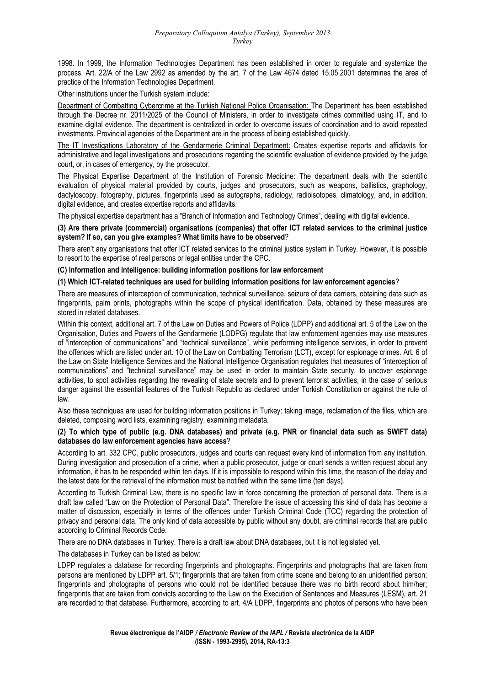#### *Preparatory Colloquium Antalya (Turkey), September 2013 Turkey*

1998. In 1999, the Information Technologies Department has been established in order to regulate and systemize the process. Art. 22/A of the Law 2992 as amended by the art. 7 of the Law 4674 dated 15.05.2001 determines the area of practice of the Information Technologies Department.

Other institutions under the Turkish system include:

Department of Combatting Cybercrime at the Turkish National Police Organisation: The Department has been established through the Decree nr. 2011/2025 of the Council of Ministers, in order to investigate crimes committed using IT, and to examine digital evidence. The department is centralized in order to overcome issues of coordination and to avoid repeated investments. Provincial agencies of the Department are in the process of being established quickly.

The IT Investigations Laboratory of the Gendarmerie Criminal Department: Creates expertise reports and affidavits for administrative and legal investigations and prosecutions regarding the scientific evaluation of evidence provided by the judge, court, or, in cases of emergency, by the prosecutor.

The Physical Expertise Department of the Institution of Forensic Medicine: The department deals with the scientific evaluation of physical material provided by courts, judges and prosecutors, such as weapons, ballistics, graphology, dactyloscopy, fotography, pictures, fingerprints used as autographs, radiology, radioisotopes, climatology, and, in addition, digital evidence, and creates expertise reports and affidavits.

The physical expertise department has a "Branch of Information and Technology Crimes", dealing with digital evidence.

**(3) Are there private (commercial) organisations (companies) that offer ICT related services to the criminal justice system? If so, can you give examples? What limits have to be observed**?

There aren't any organisations that offer ICT related services to the criminal justice system in Turkey. However, it is possible to resort to the expertise of real persons or legal entities under the CPC.

**(C) Information and Intelligence: building information positions for law enforcement** 

#### **(1) Which ICT-related techniques are used for building information positions for law enforcement agencies**?

There are measures of interception of communication, technical surveillance, seizure of data carriers, obtaining data such as fingerprints, palm prints, photographs within the scope of physical identification. Data, obtained by these measures are stored in related databases.

Within this context, additional art. 7 of the Law on Duties and Powers of Police (LDPP) and additional art. 5 of the Law on the Organisation, Duties and Powers of the Gendarmerie (LODPG) regulate that law enforcement agencies may use measures of "interception of communications" and "technical surveillance", while performing intelligence services, in order to prevent the offences which are listed under art. 10 of the Law on Combatting Terrorism (LCT), except for espionage crimes. Art. 6 of the Law on State Intelligence Services and the National Intelligence Organisation regulates that measures of "interception of communications" and "technical surveillance" may be used in order to maintain State security, to uncover espionage activities, to spot activities regarding the revealing of state secrets and to prevent terrorist activities, in the case of serious danger against the essential features of the Turkish Republic as declared under Turkish Constitution or against the rule of law.

Also these techniques are used for building information positions in Turkey: taking image, reclamation of the files, which are deleted, composing word lists, examining registry, examining metadata.

### **(2) To which type of public (e.g. DNA databases) and private (e.g. PNR or financial data such as SWIFT data) databases do law enforcement agencies have access**?

According to art. 332 CPC, public prosecutors, judges and courts can request every kind of information from any institution. During investigation and prosecution of a crime, when a public prosecutor, judge or court sends a written request about any information, it has to be responded within ten days. If it is impossible to respond within this time, the reason of the delay and the latest date for the retrieval of the information must be notified within the same time (ten days).

According to Turkish Criminal Law, there is no specific law in force concerning the protection of personal data. There is a draft law called "Law on the Protection of Personal Data". Therefore the issue of accessing this kind of data has become a matter of discussion, especially in terms of the offences under Turkish Criminal Code (TCC) regarding the protection of privacy and personal data. The only kind of data accessible by public without any doubt, are criminal records that are public according to Criminal Records Code.

There are no DNA databases in Turkey. There is a draft law about DNA databases, but it is not legislated yet.

The databases in Turkey can be listed as below:

LDPP regulates a database for recording fingerprints and photographs. Fingerprints and photographs that are taken from persons are mentioned by LDPP art. 5/1; fingerprints that are taken from crime scene and belong to an unidentified person; fingerprints and photographs of persons who could not be identified because there was no birth record about him/her; fingerprints that are taken from convicts according to the Law on the Execution of Sentences and Measures (LESM), art. 21 are recorded to that database. Furthermore, according to art. 4/A LDPP, fingerprints and photos of persons who have been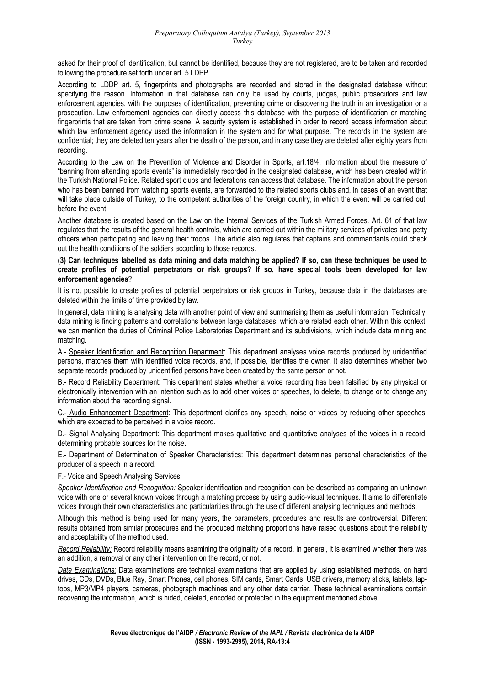asked for their proof of identification, but cannot be identified, because they are not registered, are to be taken and recorded following the procedure set forth under art. 5 LDPP.

According to LDDP art. 5, fingerprints and photographs are recorded and stored in the designated database without specifying the reason. Information in that database can only be used by courts, judges, public prosecutors and law enforcement agencies, with the purposes of identification, preventing crime or discovering the truth in an investigation or a prosecution. Law enforcement agencies can directly access this database with the purpose of identification or matching fingerprints that are taken from crime scene. A security system is established in order to record access information about which law enforcement agency used the information in the system and for what purpose. The records in the system are confidential; they are deleted ten years after the death of the person, and in any case they are deleted after eighty years from recording.

According to the Law on the Prevention of Violence and Disorder in Sports, art.18/4, Information about the measure of "banning from attending sports events" is immediately recorded in the designated database, which has been created within the Turkish National Police. Related sport clubs and federations can access that database. The information about the person who has been banned from watching sports events, are forwarded to the related sports clubs and, in cases of an event that will take place outside of Turkey, to the competent authorities of the foreign country, in which the event will be carried out, before the event.

Another database is created based on the Law on the Internal Services of the Turkish Armed Forces. Art. 61 of that law regulates that the results of the general health controls, which are carried out within the military services of privates and petty officers when participating and leaving their troops. The article also regulates that captains and commandants could check out the health conditions of the soldiers according to those records.

### (**3) Can techniques labelled as data mining and data matching be applied? If so, can these techniques be used to create profiles of potential perpetrators or risk groups? If so, have special tools been developed for law enforcement agencies**?

It is not possible to create profiles of potential perpetrators or risk groups in Turkey, because data in the databases are deleted within the limits of time provided by law.

In general, data mining is analysing data with another point of view and summarising them as useful information. Technically, data mining is finding patterns and correlations between large databases, which are related each other. Within this context, we can mention the duties of Criminal Police Laboratories Department and its subdivisions, which include data mining and matching.

A.- Speaker Identification and Recognition Department: This department analyses voice records produced by unidentified persons, matches them with identified voice records, and, if possible, identifies the owner. It also determines whether two separate records produced by unidentified persons have been created by the same person or not.

B.- Record Reliability Department: This department states whether a voice recording has been falsified by any physical or electronically intervention with an intention such as to add other voices or speeches, to delete, to change or to change any information about the recording signal.

C.- Audio Enhancement Department: This department clarifies any speech, noise or voices by reducing other speeches, which are expected to be perceived in a voice record.

D.- Signal Analysing Department: This department makes qualitative and quantitative analyses of the voices in a record, determining probable sources for the noise.

E.- Department of Determination of Speaker Characteristics: This department determines personal characteristics of the producer of a speech in a record.

### F.- Voice and Speech Analysing Services:

*Speaker Identification and Recognition:* Speaker identification and recognition can be described as comparing an unknown voice with one or several known voices through a matching process by using audio-visual techniques. It aims to differentiate voices through their own characteristics and particularities through the use of different analysing techniques and methods.

Although this method is being used for many years, the parameters, procedures and results are controversial. Different results obtained from similar procedures and the produced matching proportions have raised questions about the reliability and acceptability of the method used.

*Record Reliability:* Record reliability means examining the originality of a record. In general, it is examined whether there was an addition, a removal or any other intervention on the record, or not.

*Data Examinations:* Data examinations are technical examinations that are applied by using established methods, on hard drives, CDs, DVDs, Blue Ray, Smart Phones, cell phones, SIM cards, Smart Cards, USB drivers, memory sticks, tablets, laptops, MP3/MP4 players, cameras, photograph machines and any other data carrier. These technical examinations contain recovering the information, which is hided, deleted, encoded or protected in the equipment mentioned above.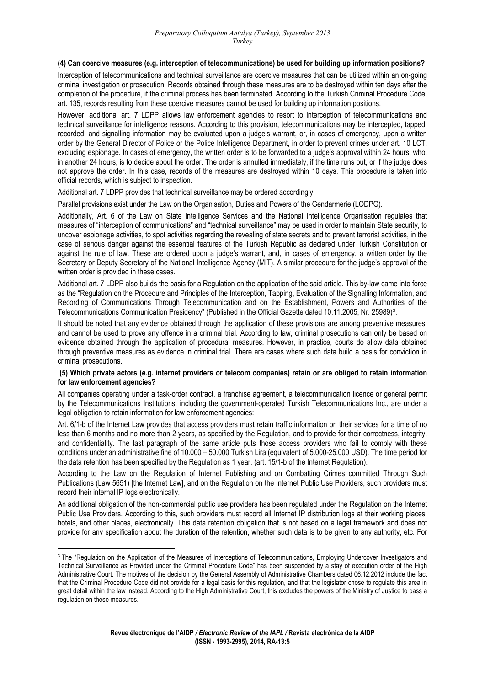#### **(4) Can coercive measures (e.g. interception of telecommunications) be used for building up information positions?**

Interception of telecommunications and technical surveillance are coercive measures that can be utilized within an on-going criminal investigation or prosecution. Records obtained through these measures are to be destroyed within ten days after the completion of the procedure, if the criminal process has been terminated. According to the Turkish Criminal Procedure Code, art. 135, records resulting from these coercive measures cannot be used for building up information positions.

However, additional art. 7 LDPP allows law enforcement agencies to resort to interception of telecommunications and technical surveillance for intelligence reasons. According to this provision, telecommunications may be intercepted, tapped, recorded, and signalling information may be evaluated upon a judge's warrant, or, in cases of emergency, upon a written order by the General Director of Police or the Police Intelligence Department, in order to prevent crimes under art. 10 LCT, excluding espionage. In cases of emergency, the written order is to be forwarded to a judge's approval within 24 hours, who, in another 24 hours, is to decide about the order. The order is annulled immediately, if the time runs out, or if the judge does not approve the order. In this case, records of the measures are destroyed within 10 days. This procedure is taken into official records, which is subject to inspection.

Additional art. 7 LDPP provides that technical surveillance may be ordered accordingly.

Parallel provisions exist under the Law on the Organisation, Duties and Powers of the Gendarmerie (LODPG).

Additionally, Art. 6 of the Law on State Intelligence Services and the National Intelligence Organisation regulates that measures of "interception of communications" and "technical surveillance" may be used in order to maintain State security, to uncover espionage activities, to spot activities regarding the revealing of state secrets and to prevent terrorist activities, in the case of serious danger against the essential features of the Turkish Republic as declared under Turkish Constitution or against the rule of law. These are ordered upon a judge's warrant, and, in cases of emergency, a written order by the Secretary or Deputy Secretary of the National Intelligence Agency (MIT). A similar procedure for the judge's approval of the written order is provided in these cases.

Additional art. 7 LDPP also builds the basis for a Regulation on the application of the said article. This by-law came into force as the "Regulation on the Procedure and Principles of the Interception, Tapping, Evaluation of the Signalling Information, and Recording of Communications Through Telecommunication and on the Establishment, Powers and Authorities of the Telecommunications Communication Presidency" (Published in the Official Gazette dated 10.11.2005, Nr. 25989)[3](#page-4-0).

It should be noted that any evidence obtained through the application of these provisions are among preventive measures, and cannot be used to prove any offence in a criminal trial. According to law, criminal prosecutions can only be based on evidence obtained through the application of procedural measures. However, in practice, courts do allow data obtained through preventive measures as evidence in criminal trial. There are cases where such data build a basis for conviction in criminal prosecutions.

#### **(5) Which private actors (e.g. internet providers or telecom companies) retain or are obliged to retain information for law enforcement agencies?**

All companies operating under a task-order contract, a franchise agreement, a telecommunication licence or general permit by the Telecommunications Institutions, including the government-operated Turkish Telecommunications Inc., are under a legal obligation to retain information for law enforcement agencies:

Art. 6/1-b of the Internet Law provides that access providers must retain traffic information on their services for a time of no less than 6 months and no more than 2 years, as specified by the Regulation, and to provide for their correctness, integrity, and confidentiality. The last paragraph of the same article puts those access providers who fail to comply with these conditions under an administrative fine of 10.000 – 50.000 Turkish Lira (equivalent of 5.000-25.000 USD). The time period for the data retention has been specified by the Regulation as 1 year. (art. 15/1-b of the Internet Regulation).

According to the Law on the Regulation of Internet Publishing and on Combatting Crimes committed Through Such Publications (Law 5651) [the Internet Law], and on the Regulation on the Internet Public Use Providers, such providers must record their internal IP logs electronically.

hotels, and other places, electronically. This data retention obligation that is not based on a legal framework and does not provide for any specification about the duration of the retention, whether such data is to be given to any authority, etc. For An additional obligation of the non-commercial public use providers has been regulated under the Regulation on the Internet Public Use Providers. According to this, such providers must record all Internet IP distribution logs at their working places,

<span id="page-4-0"></span><sup>&</sup>lt;sup>3</sup> The "Regulation on the Application of the Measures of Interceptions of Telecommunications, Employing Undercover Investigators and Technical Surveillance as Provided under the Criminal Procedure Code" has been suspended by a stay of execution order of the High Administrative Court. The motives of the decision by the General Assembly of Administrative Chambers dated 06.12.2012 include the fact that the Criminal Procedure Code did not provide for a legal basis for this regulation, and that the legislator chose to regulate this area in great detail within the law instead. According to the High Administrative Court, this excludes the powers of the Ministry of Justice to pass a regulation on these measures.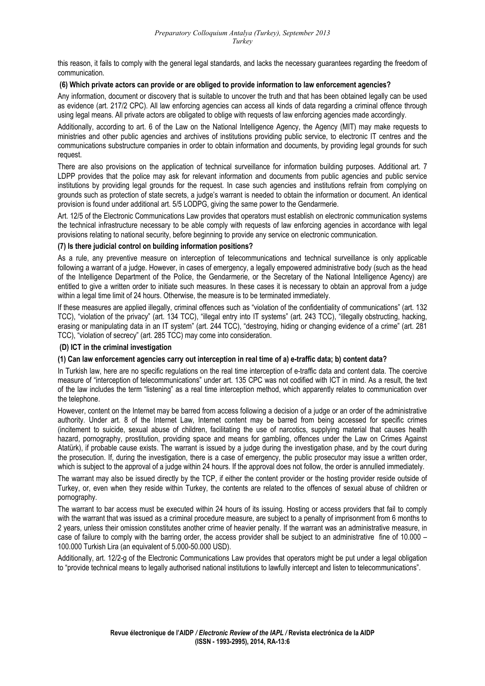this reason, it fails to comply with the general legal standards, and lacks the necessary guarantees regarding the freedom of communication.

### **(6) Which private actors can provide or are obliged to provide information to law enforcement agencies?**

Any information, document or discovery that is suitable to uncover the truth and that has been obtained legally can be used as evidence (art. 217/2 CPC). All law enforcing agencies can access all kinds of data regarding a criminal offence through using legal means. All private actors are obligated to oblige with requests of law enforcing agencies made accordingly.

Additionally, according to art. 6 of the Law on the National Intelligence Agency, the Agency (MIT) may make requests to ministries and other public agencies and archives of institutions providing public service, to electronic IT centres and the communications substructure companies in order to obtain information and documents, by providing legal grounds for such request.

There are also provisions on the application of technical surveillance for information building purposes. Additional art. 7 LDPP provides that the police may ask for relevant information and documents from public agencies and public service institutions by providing legal grounds for the request. In case such agencies and institutions refrain from complying on grounds such as protection of state secrets, a judge's warrant is needed to obtain the information or document. An identical provision is found under additional art. 5/5 LODPG, giving the same power to the Gendarmerie.

Art. 12/5 of the Electronic Communications Law provides that operators must establish on electronic communication systems the technical infrastructure necessary to be able comply with requests of law enforcing agencies in accordance with legal provisions relating to national security, before beginning to provide any service on electronic communication.

### **(7) Is there judicial control on building information positions?**

As a rule, any preventive measure on interception of telecommunications and technical surveillance is only applicable following a warrant of a judge. However, in cases of emergency, a legally empowered administrative body (such as the head of the Intelligence Department of the Police, the Gendarmerie, or the Secretary of the National Intelligence Agency) are entitled to give a written order to initiate such measures. In these cases it is necessary to obtain an approval from a judge within a legal time limit of 24 hours. Otherwise, the measure is to be terminated immediately.

If these measures are applied illegally, criminal offences such as "violation of the confidentiality of communications" (art. 132 TCC), "violation of the privacy" (art. 134 TCC), "illegal entry into IT systems" (art. 243 TCC), "illegally obstructing, hacking, erasing or manipulating data in an IT system" (art. 244 TCC), "destroying, hiding or changing evidence of a crime" (art. 281 TCC), "violation of secrecy" (art. 285 TCC) may come into consideration.

### **(D) ICT in the criminal investigation**

## **(1) Can law enforcement agencies carry out interception in real time of a) e-traffic data; b) content data?**

In Turkish law, here are no specific regulations on the real time interception of e-traffic data and content data. The coercive measure of "interception of telecommunications" under art. 135 CPC was not codified with ICT in mind. As a result, the text of the law includes the term "listening" as a real time interception method, which apparently relates to communication over the telephone.

However, content on the Internet may be barred from access following a decision of a judge or an order of the administrative authority. Under art. 8 of the Internet Law, Internet content may be barred from being accessed for specific crimes (incitement to suicide, sexual abuse of children, facilitating the use of narcotics, supplying material that causes health hazard, pornography, prostitution, providing space and means for gambling, offences under the Law on Crimes Against Atatürk), if probable cause exists. The warrant is issued by a judge during the investigation phase, and by the court during the prosecution. If, during the investigation, there is a case of emergency, the public prosecutor may issue a written order, which is subject to the approval of a judge within 24 hours. If the approval does not follow, the order is annulled immediately.

The warrant may also be issued directly by the TCP, if either the content provider or the hosting provider reside outside of Turkey, or, even when they reside within Turkey, the contents are related to the offences of sexual abuse of children or pornography.

The warrant to bar access must be executed within 24 hours of its issuing. Hosting or access providers that fail to comply with the warrant that was issued as a criminal procedure measure, are subject to a penalty of imprisonment from 6 months to 2 years, unless their omission constitutes another crime of heavier penalty. If the warrant was an administrative measure, in case of failure to comply with the barring order, the access provider shall be subject to an administrative fine of 10.000 – 100.000 Turkish Lira (an equivalent of 5.000-50.000 USD).

Additionally, art. 12/2-g of the Electronic Communications Law provides that operators might be put under a legal obligation to "provide technical means to legally authorised national institutions to lawfully intercept and listen to telecommunications".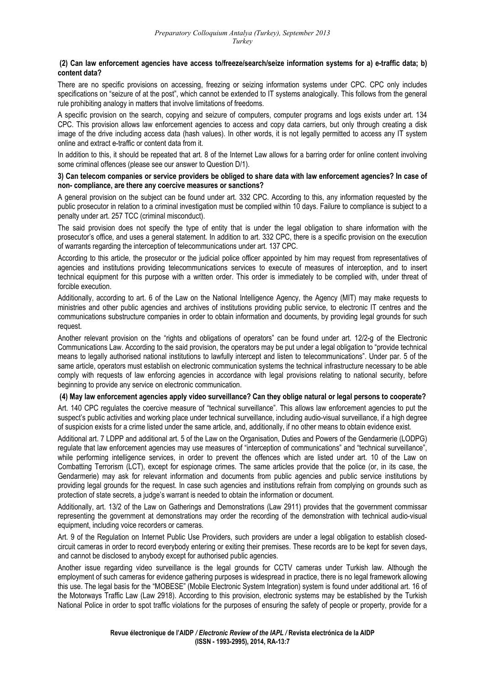### **(2) Can law enforcement agencies have access to/freeze/search/seize information systems for a) e-traffic data; b) content data?**

There are no specific provisions on accessing, freezing or seizing information systems under CPC. CPC only includes specifications on "seizure of at the post", which cannot be extended to IT systems analogically. This follows from the general rule prohibiting analogy in matters that involve limitations of freedoms.

A specific provision on the search, copying and seizure of computers, computer programs and logs exists under art. 134 CPC. This provision allows law enforcement agencies to access and copy data carriers, but only through creating a disk image of the drive including access data (hash values). In other words, it is not legally permitted to access any IT system online and extract e-traffic or content data from it.

In addition to this, it should be repeated that art. 8 of the Internet Law allows for a barring order for online content involving some criminal offences (please see our answer to Question D/1).

### **3) Can telecom companies or service providers be obliged to share data with law enforcement agencies? In case of non- compliance, are there any coercive measures or sanctions?**

A general provision on the subject can be found under art. 332 CPC. According to this, any information requested by the public prosecutor in relation to a criminal investigation must be complied within 10 days. Failure to compliance is subject to a penalty under art. 257 TCC (criminal misconduct).

The said provision does not specify the type of entity that is under the legal obligation to share information with the prosecutor's office, and uses a general statement. In addition to art. 332 CPC, there is a specific provision on the execution of warrants regarding the interception of telecommunications under art. 137 CPC.

According to this article, the prosecutor or the judicial police officer appointed by him may request from representatives of agencies and institutions providing telecommunications services to execute of measures of interception, and to insert technical equipment for this purpose with a written order. This order is immediately to be complied with, under threat of forcible execution.

Additionally, according to art. 6 of the Law on the National Intelligence Agency, the Agency (MIT) may make requests to ministries and other public agencies and archives of institutions providing public service, to electronic IT centres and the communications substructure companies in order to obtain information and documents, by providing legal grounds for such request.

Another relevant provision on the "rights and obligations of operators" can be found under art. 12/2-g of the Electronic Communications Law. According to the said provision, the operators may be put under a legal obligation to "provide technical means to legally authorised national institutions to lawfully intercept and listen to telecommunications". Under par. 5 of the same article, operators must establish on electronic communication systems the technical infrastructure necessary to be able comply with requests of law enforcing agencies in accordance with legal provisions relating to national security, before beginning to provide any service on electronic communication.

## **(4) May law enforcement agencies apply video surveillance? Can they oblige natural or legal persons to cooperate?**

Art. 140 CPC regulates the coercive measure of "technical surveillance". This allows law enforcement agencies to put the suspect's public activities and working place under technical surveillance, including audio-visual surveillance, if a high degree of suspicion exists for a crime listed under the same article, and, additionally, if no other means to obtain evidence exist.

Additional art. 7 LDPP and additional art. 5 of the Law on the Organisation, Duties and Powers of the Gendarmerie (LODPG) regulate that law enforcement agencies may use measures of "interception of communications" and "technical surveillance", while performing intelligence services, in order to prevent the offences which are listed under art. 10 of the Law on Combatting Terrorism (LCT), except for espionage crimes. The same articles provide that the police (or, in its case, the Gendarmerie) may ask for relevant information and documents from public agencies and public service institutions by providing legal grounds for the request. In case such agencies and institutions refrain from complying on grounds such as protection of state secrets, a judge's warrant is needed to obtain the information or document.

Additionally, art. 13/2 of the Law on Gatherings and Demonstrations (Law 2911) provides that the government commissar representing the government at demonstrations may order the recording of the demonstration with technical audio-visual equipment, including voice recorders or cameras.

Art. 9 of the Regulation on Internet Public Use Providers, such providers are under a legal obligation to establish closedcircuit cameras in order to record everybody entering or exiting their premises. These records are to be kept for seven days, and cannot be disclosed to anybody except for authorised public agencies.

Another issue regarding video surveillance is the legal grounds for CCTV cameras under Turkish law. Although the employment of such cameras for evidence gathering purposes is widespread in practice, there is no legal framework allowing this use. The legal basis for the "MOBESE" (Mobile Electronic System Integration) system is found under additional art. 16 of the Motorways Traffic Law (Law 2918). According to this provision, electronic systems may be established by the Turkish National Police in order to spot traffic violations for the purposes of ensuring the safety of people or property, provide for a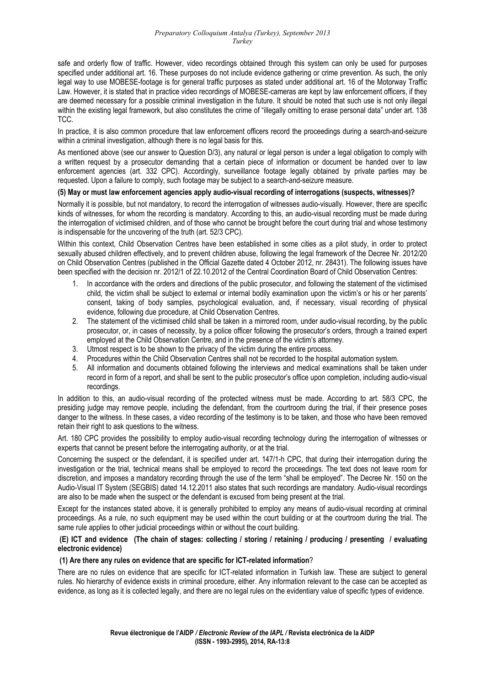safe and orderly flow of traffic. However, video recordings obtained through this system can only be used for purposes specified under additional art. 16. These purposes do not include evidence gathering or crime prevention. As such, the only legal way to use MOBESE-footage is for general traffic purposes as stated under additional art. 16 of the Motorway Traffic Law. However, it is stated that in practice video recordings of MOBESE-cameras are kept by law enforcement officers, if they are deemed necessary for a possible criminal investigation in the future. It should be noted that such use is not only illegal within the existing legal framework, but also constitutes the crime of "illegally omitting to erase personal data" under art. 138 TCC.

In practice, it is also common procedure that law enforcement officers record the proceedings during a search-and-seizure within a criminal investigation, although there is no legal basis for this.

As mentioned above (see our answer to Question D/3), any natural or legal person is under a legal obligation to comply with a written request by a prosecutor demanding that a certain piece of information or document be handed over to law enforcement agencies (art. 332 CPC). Accordingly, surveillance footage legally obtained by private parties may be requested. Upon a failure to comply, such footage may be subject to a search-and-seizure measure.

### **(5) May or must law enforcement agencies apply audio-visual recording of interrogations (suspects, witnesses)?**

Normally it is possible, but not mandatory, to record the interrogation of witnesses audio-visually. However, there are specific kinds of witnesses, for whom the recording is mandatory. According to this, an audio-visual recording must be made during the interrogation of victimised children, and of those who cannot be brought before the court during trial and whose testimony is indispensable for the uncovering of the truth (art. 52/3 CPC).

Within this context, Child Observation Centres have been established in some cities as a pilot study, in order to protect sexually abused children effectively, and to prevent children abuse, following the legal framework of the Decree Nr. 2012/20 on Child Observation Centres (published in the Official Gazette dated 4 October 2012, nr. 28431). The following issues have been specified with the decision nr. 2012/1 of 22.10.2012 of the Central Coordination Board of Child Observation Centres:

- 1. In accordance with the orders and directions of the public prosecutor, and following the statement of the victimised child, the victim shall be subject to external or internal bodily examination upon the victim's or his or her parents' consent, taking of body samples, psychological evaluation, and, if necessary, visual recording of physical evidence, following due procedure, at Child Observation Centres.
- 2. The statement of the victimised child shall be taken in a mirrored room, under audio-visual recording, by the public prosecutor, or, in cases of necessity, by a police officer following the prosecutor's orders, through a trained expert employed at the Child Observation Centre, and in the presence of the victim's attorney.
- 3. Utmost respect is to be shown to the privacy of the victim during the entire process.
- 4. Procedures within the Child Observation Centres shall not be recorded to the hospital automation system.
- 5. All information and documents obtained following the interviews and medical examinations shall be taken under record in form of a report, and shall be sent to the public prosecutor's office upon completion, including audio-visual recordings.

In addition to this, an audio-visual recording of the protected witness must be made. According to art. 58/3 CPC, the presiding judge may remove people, including the defendant, from the courtroom during the trial, if their presence poses danger to the witness. In these cases, a video recording of the testimony is to be taken, and those who have been removed retain their right to ask questions to the witness.

Art. 180 CPC provides the possibility to employ audio-visual recording technology during the interrogation of witnesses or experts that cannot be present before the interrogating authority, or at the trial.

Concerning the suspect or the defendant, it is specified under art. 147/1-h CPC, that during their interrogation during the investigation or the trial, technical means shall be employed to record the proceedings. The text does not leave room for discretion, and imposes a mandatory recording through the use of the term "shall be employed". The Decree Nr. 150 on the Audio-Visual IT System (SEGBIS) dated 14.12.2011 also states that such recordings are mandatory. Audio-visual recordings are also to be made when the suspect or the defendant is excused from being present at the trial.

Except for the instances stated above, it is generally prohibited to employ any means of audio-visual recording at criminal proceedings. As a rule, no such equipment may be used within the court building or at the courtroom during the trial. The same rule applies to other judicial proceedings within or without the court building.

### **(E) ICT and evidence(The chain of stages: collecting / storing / retaining / producing / presenting / evaluating electronic evidence)**

## **(1) Are there any rules on evidence that are specific for ICT-related information**?

There are no rules on evidence that are specific for ICT-related information in Turkish law. These are subject to general rules. No hierarchy of evidence exists in criminal procedure, either. Any information relevant to the case can be accepted as evidence, as long as it is collected legally, and there are no legal rules on the evidentiary value of specific types of evidence.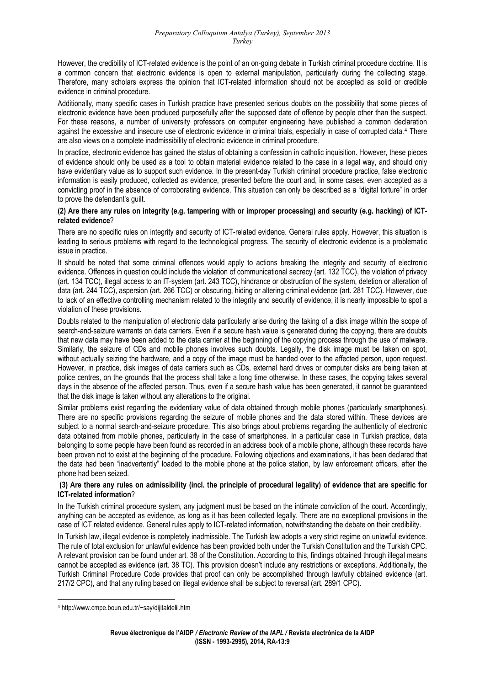However, the credibility of ICT-related evidence is the point of an on-going debate in Turkish criminal procedure doctrine. It is a common concern that electronic evidence is open to external manipulation, particularly during the collecting stage. Therefore, many scholars express the opinion that ICT-related information should not be accepted as solid or credible evidence in criminal procedure.

Additionally, many specific cases in Turkish practice have presented serious doubts on the possibility that some pieces of electronic evidence have been produced purposefully after the supposed date of offence by people other than the suspect. For these reasons, a number of university professors on computer engineering have published a common declaration against the excessive and insecure use of electronic evidence in criminal trials, especially in case of corrupted data.[4](#page-8-0) There are also views on a complete inadmissibility of electronic evidence in criminal procedure.

In practice, electronic evidence has gained the status of obtaining a confession in catholic inquisition. However, these pieces of evidence should only be used as a tool to obtain material evidence related to the case in a legal way, and should only have evidentiary value as to support such evidence. In the present-day Turkish criminal procedure practice, false electronic information is easily produced, collected as evidence, presented before the court and, in some cases, even accepted as a convicting proof in the absence of corroborating evidence. This situation can only be described as a "digital torture" in order to prove the defendant's guilt.

### **(2) Are there any rules on integrity (e.g. tampering with or improper processing) and security (e.g. hacking) of ICTrelated evidence**?

There are no specific rules on integrity and security of ICT-related evidence. General rules apply. However, this situation is leading to serious problems with regard to the technological progress. The security of electronic evidence is a problematic issue in practice.

It should be noted that some criminal offences would apply to actions breaking the integrity and security of electronic evidence. Offences in question could include the violation of communicational secrecy (art. 132 TCC), the violation of privacy (art. 134 TCC), illegal access to an IT-system (art. 243 TCC), hindrance or obstruction of the system, deletion or alteration of data (art. 244 TCC), aspersion (art. 266 TCC) or obscuring, hiding or altering criminal evidence (art. 281 TCC). However, due to lack of an effective controlling mechanism related to the integrity and security of evidence, it is nearly impossible to spot a violation of these provisions.

Doubts related to the manipulation of electronic data particularly arise during the taking of a disk image within the scope of search-and-seizure warrants on data carriers. Even if a secure hash value is generated during the copying, there are doubts that new data may have been added to the data carrier at the beginning of the copying process through the use of malware. Similarly, the seizure of CDs and mobile phones involves such doubts. Legally, the disk image must be taken on spot, without actually seizing the hardware, and a copy of the image must be handed over to the affected person, upon request. However, in practice, disk images of data carriers such as CDs, external hard drives or computer disks are being taken at police centres, on the grounds that the process shall take a long time otherwise. In these cases, the copying takes several days in the absence of the affected person. Thus, even if a secure hash value has been generated, it cannot be guaranteed that the disk image is taken without any alterations to the original.

Similar problems exist regarding the evidentiary value of data obtained through mobile phones (particularly smartphones). There are no specific provisions regarding the seizure of mobile phones and the data stored within. These devices are subject to a normal search-and-seizure procedure. This also brings about problems regarding the authenticity of electronic data obtained from mobile phones, particularly in the case of smartphones. In a particular case in Turkish practice, data belonging to some people have been found as recorded in an address book of a mobile phone, although these records have been proven not to exist at the beginning of the procedure. Following objections and examinations, it has been declared that the data had been "inadvertently" loaded to the mobile phone at the police station, by law enforcement officers, after the phone had been seized.

### **(3) Are there any rules on admissibility (incl. the principle of procedural legality) of evidence that are specific for ICT-related information**?

In the Turkish criminal procedure system, any judgment must be based on the intimate conviction of the court. Accordingly, anything can be accepted as evidence, as long as it has been collected legally. There are no exceptional provisions in the case of ICT related evidence. General rules apply to ICT-related information, notwithstanding the debate on their credibility.

Turkish Criminal Procedure Code provides that proof can only be accomplished through lawfully obtained evidence (art. 217/2 CPC), and that any ruling based on illegal evidence shall be subject to reversal (art. 289/1 CPC). In Turkish law, illegal evidence is completely inadmissible. The Turkish law adopts a very strict regime on unlawful evidence. The rule of total exclusion for unlawful evidence has been provided both under the Turkish Constitution and the Turkish CPC. A relevant provision can be found under art. 38 of the Constitution. According to this, findings obtained through illegal means cannot be accepted as evidence (art. 38 TC). This provision doesn't include any restrictions or exceptions. Additionally, the

<span id="page-8-0"></span> 4 http://www.cmpe.boun.edu.tr/~say/dijitaldelil.htm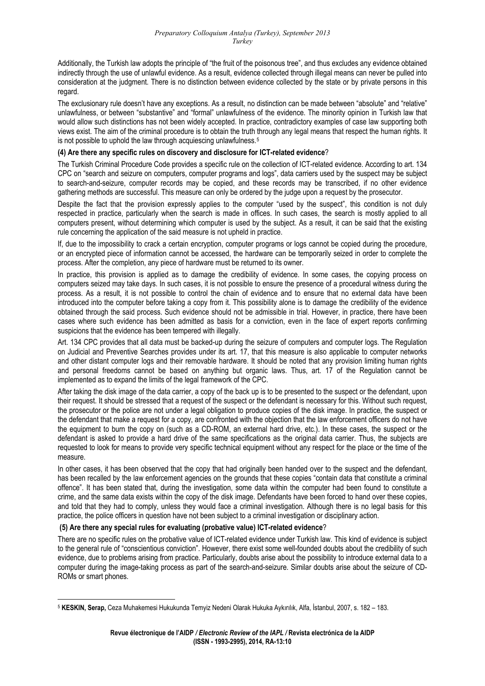Additionally, the Turkish law adopts the principle of "the fruit of the poisonous tree", and thus excludes any evidence obtained indirectly through the use of unlawful evidence. As a result, evidence collected through illegal means can never be pulled into consideration at the judgment. There is no distinction between evidence collected by the state or by private persons in this regard.

The exclusionary rule doesn't have any exceptions. As a result, no distinction can be made between "absolute" and "relative" unlawfulness, or between "substantive" and "formal" unlawfulness of the evidence. The minority opinion in Turkish law that would allow such distinctions has not been widely accepted. In practice, contradictory examples of case law supporting both views exist. The aim of the criminal procedure is to obtain the truth through any legal means that respect the human rights. It is not possible to uphold the law through acquiescing unlawfulness.<sup>[5](#page-9-0)</sup>

### **(4) Are there any specific rules on discovery and disclosure for ICT-related evidence**?

The Turkish Criminal Procedure Code provides a specific rule on the collection of ICT-related evidence. According to art. 134 CPC on "search and seizure on computers, computer programs and logs", data carriers used by the suspect may be subject to search-and-seizure, computer records may be copied, and these records may be transcribed, if no other evidence gathering methods are successful. This measure can only be ordered by the judge upon a request by the prosecutor.

Despite the fact that the provision expressly applies to the computer "used by the suspect", this condition is not duly respected in practice, particularly when the search is made in offices. In such cases, the search is mostly applied to all computers present, without determining which computer is used by the subject. As a result, it can be said that the existing rule concerning the application of the said measure is not upheld in practice.

If, due to the impossibility to crack a certain encryption, computer programs or logs cannot be copied during the procedure, or an encrypted piece of information cannot be accessed, the hardware can be temporarily seized in order to complete the process. After the completion, any piece of hardware must be returned to its owner.

In practice, this provision is applied as to damage the credibility of evidence. In some cases, the copying process on computers seized may take days. In such cases, it is not possible to ensure the presence of a procedural witness during the process. As a result, it is not possible to control the chain of evidence and to ensure that no external data have been introduced into the computer before taking a copy from it. This possibility alone is to damage the credibility of the evidence obtained through the said process. Such evidence should not be admissible in trial. However, in practice, there have been cases where such evidence has been admitted as basis for a conviction, even in the face of expert reports confirming suspicions that the evidence has been tempered with illegally.

Art. 134 CPC provides that all data must be backed-up during the seizure of computers and computer logs. The Regulation on Judicial and Preventive Searches provides under its art. 17, that this measure is also applicable to computer networks and other distant computer logs and their removable hardware. It should be noted that any provision limiting human rights and personal freedoms cannot be based on anything but organic laws. Thus, art. 17 of the Regulation cannot be implemented as to expand the limits of the legal framework of the CPC.

After taking the disk image of the data carrier, a copy of the back up is to be presented to the suspect or the defendant, upon their request. It should be stressed that a request of the suspect or the defendant is necessary for this. Without such request, the prosecutor or the police are not under a legal obligation to produce copies of the disk image. In practice, the suspect or the defendant that make a request for a copy, are confronted with the objection that the law enforcement officers do not have the equipment to burn the copy on (such as a CD-ROM, an external hard drive, etc.). In these cases, the suspect or the defendant is asked to provide a hard drive of the same specifications as the original data carrier. Thus, the subjects are requested to look for means to provide very specific technical equipment without any respect for the place or the time of the measure.

In other cases, it has been observed that the copy that had originally been handed over to the suspect and the defendant. has been recalled by the law enforcement agencies on the grounds that these copies "contain data that constitute a criminal offence". It has been stated that, during the investigation, some data within the computer had been found to constitute a crime, and the same data exists within the copy of the disk image. Defendants have been forced to hand over these copies, and told that they had to comply, unless they would face a criminal investigation. Although there is no legal basis for this practice, the police officers in question have not been subject to a criminal investigation or disciplinary action.

### **(5) Are there any special rules for evaluating (probative value) ICT-related evidence**?

ROMs or smart phones. There are no specific rules on the probative value of ICT-related evidence under Turkish law. This kind of evidence is subject to the general rule of "conscientious conviction". However, there exist some well-founded doubts about the credibility of such evidence, due to problems arising from practice. Particularly, doubts arise about the possibility to introduce external data to a computer during the image-taking process as part of the search-and-seizure. Similar doubts arise about the seizure of CD-

<span id="page-9-0"></span> <sup>5</sup> **KESKIN, Serap,** Ceza Muhakemesi Hukukunda Temyiz Nedeni Olarak Hukuka Aykırılık, Alfa, İstanbul, 2007, s. 182 – 183.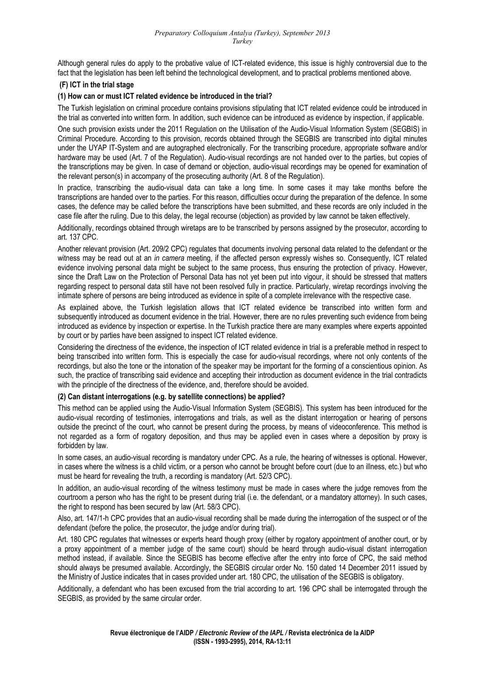Although general rules do apply to the probative value of ICT-related evidence, this issue is highly controversial due to the fact that the legislation has been left behind the technological development, and to practical problems mentioned above.

### **(F) ICT in the trial stage**

### **(1) How can or must ICT related evidence be introduced in the trial?**

The Turkish legislation on criminal procedure contains provisions stipulating that ICT related evidence could be introduced in the trial as converted into written form. In addition, such evidence can be introduced as evidence by inspection, if applicable.

One such provision exists under the 2011 Regulation on the Utilisation of the Audio-Visual Information System (SEGBIS) in Criminal Procedure. According to this provision, records obtained through the SEGBIS are transcribed into digital minutes under the UYAP IT-System and are autographed electronically. For the transcribing procedure, appropriate software and/or hardware may be used (Art. 7 of the Regulation). Audio-visual recordings are not handed over to the parties, but copies of the transcriptions may be given. In case of demand or objection, audio-visual recordings may be opened for examination of the relevant person(s) in accompany of the prosecuting authority (Art. 8 of the Regulation).

In practice, transcribing the audio-visual data can take a long time. In some cases it may take months before the transcriptions are handed over to the parties. For this reason, difficulties occur during the preparation of the defence. In some cases, the defence may be called before the transcriptions have been submitted, and these records are only included in the case file after the ruling. Due to this delay, the legal recourse (objection) as provided by law cannot be taken effectively.

Additionally, recordings obtained through wiretaps are to be transcribed by persons assigned by the prosecutor, according to art. 137 CPC.

Another relevant provision (Art. 209/2 CPC) regulates that documents involving personal data related to the defendant or the witness may be read out at an *in camera* meeting, if the affected person expressly wishes so. Consequently, ICT related evidence involving personal data might be subject to the same process, thus ensuring the protection of privacy. However, since the Draft Law on the Protection of Personal Data has not yet been put into vigour, it should be stressed that matters regarding respect to personal data still have not been resolved fully in practice. Particularly, wiretap recordings involving the intimate sphere of persons are being introduced as evidence in spite of a complete irrelevance with the respective case.

As explained above, the Turkish legislation allows that ICT related evidence be transcribed into written form and subsequently introduced as document evidence in the trial. However, there are no rules preventing such evidence from being introduced as evidence by inspection or expertise. In the Turkish practice there are many examples where experts appointed by court or by parties have been assigned to inspect ICT related evidence.

Considering the directness of the evidence, the inspection of ICT related evidence in trial is a preferable method in respect to being transcribed into written form. This is especially the case for audio-visual recordings, where not only contents of the recordings, but also the tone or the intonation of the speaker may be important for the forming of a conscientious opinion. As such, the practice of transcribing said evidence and accepting their introduction as document evidence in the trial contradicts with the principle of the directness of the evidence, and, therefore should be avoided.

### **(2) Can distant interrogations (e.g. by satellite connections) be applied?**

This method can be applied using the Audio-Visual Information System (SEGBIS). This system has been introduced for the audio-visual recording of testimonies, interrogations and trials, as well as the distant interrogation or hearing of persons outside the precinct of the court, who cannot be present during the process, by means of videoconference. This method is not regarded as a form of rogatory deposition, and thus may be applied even in cases where a deposition by proxy is forbidden by law.

In some cases, an audio-visual recording is mandatory under CPC. As a rule, the hearing of witnesses is optional. However, in cases where the witness is a child victim, or a person who cannot be brought before court (due to an illness, etc.) but who must be heard for revealing the truth, a recording is mandatory (Art. 52/3 CPC).

In addition, an audio-visual recording of the witness testimony must be made in cases where the judge removes from the courtroom a person who has the right to be present during trial (i.e. the defendant, or a mandatory attorney). In such cases, the right to respond has been secured by law (Art. 58/3 CPC).

Also, art. 147/1-h CPC provides that an audio-visual recording shall be made during the interrogation of the suspect or of the defendant (before the police, the prosecutor, the judge and/or during trial).

Art. 180 CPC regulates that witnesses or experts heard though proxy (either by rogatory appointment of another court, or by a proxy appointment of a member judge of the same court) should be heard through audio-visual distant interrogation method instead, if available. Since the SEGBIS has become effective after the entry into force of CPC, the said method should always be presumed available. Accordingly, the SEGBIS circular order No. 150 dated 14 December 2011 issued by the Ministry of Justice indicates that in cases provided under art. 180 CPC, the utilisation of the SEGBIS is obligatory.

Additionally, a defendant who has been excused from the trial according to art. 196 CPC shall be interrogated through the SEGBIS, as provided by the same circular order.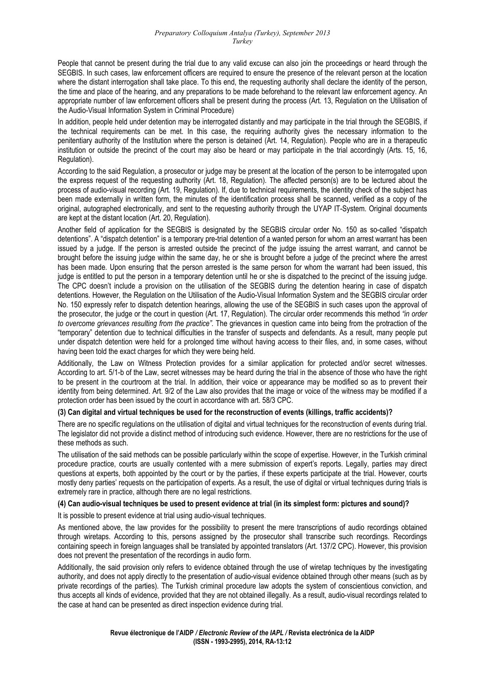People that cannot be present during the trial due to any valid excuse can also join the proceedings or heard through the SEGBIS. In such cases, law enforcement officers are required to ensure the presence of the relevant person at the location where the distant interrogation shall take place. To this end, the requesting authority shall declare the identity of the person, the time and place of the hearing, and any preparations to be made beforehand to the relevant law enforcement agency. An appropriate number of law enforcement officers shall be present during the process (Art. 13, Regulation on the Utilisation of the Audio-Visual Information System in Criminal Procedure)

In addition, people held under detention may be interrogated distantly and may participate in the trial through the SEGBIS, if the technical requirements can be met. In this case, the requiring authority gives the necessary information to the penitentiary authority of the Institution where the person is detained (Art. 14, Regulation). People who are in a therapeutic institution or outside the precinct of the court may also be heard or may participate in the trial accordingly (Arts. 15, 16, Regulation).

According to the said Regulation, a prosecutor or judge may be present at the location of the person to be interrogated upon the express request of the requesting authority (Art. 18, Regulation). The affected person(s) are to be lectured about the process of audio-visual recording (Art. 19, Regulation). If, due to technical requirements, the identity check of the subject has been made externally in written form, the minutes of the identification process shall be scanned, verified as a copy of the original, autographed electronically, and sent to the requesting authority through the UYAP IT-System. Original documents are kept at the distant location (Art. 20, Regulation).

Another field of application for the SEGBIS is designated by the SEGBIS circular order No. 150 as so-called "dispatch detentions". A "dispatch detention" is a temporary pre-trial detention of a wanted person for whom an arrest warrant has been issued by a judge. If the person is arrested outside the precinct of the judge issuing the arrest warrant, and cannot be brought before the issuing judge within the same day, he or she is brought before a judge of the precinct where the arrest has been made. Upon ensuring that the person arrested is the same person for whom the warrant had been issued, this judge is entitled to put the person in a temporary detention until he or she is dispatched to the precinct of the issuing judge. The CPC doesn't include a provision on the utilisation of the SEGBIS during the detention hearing in case of dispatch detentions. However, the Regulation on the Utilisation of the Audio-Visual Information System and the SEGBIS circular order No. 150 expressly refer to dispatch detention hearings, allowing the use of the SEGBIS in such cases upon the approval of the prosecutor, the judge or the court in question (Art. 17, Regulation). The circular order recommends this method *"in order to overcome grievances resulting from the practice".* The grievances in question came into being from the protraction of the "temporary" detention due to technical difficulties in the transfer of suspects and defendants. As a result, many people put under dispatch detention were held for a prolonged time without having access to their files, and, in some cases, without having been told the exact charges for which they were being held.

Additionally, the Law on Witness Protection provides for a similar application for protected and/or secret witnesses. According to art. 5/1-b of the Law, secret witnesses may be heard during the trial in the absence of those who have the right to be present in the courtroom at the trial. In addition, their voice or appearance may be modified so as to prevent their identity from being determined. Art. 9/2 of the Law also provides that the image or voice of the witness may be modified if a protection order has been issued by the court in accordance with art. 58/3 CPC.

### **(3) Can digital and virtual techniques be used for the reconstruction of events (killings, traffic accidents)?**

There are no specific regulations on the utilisation of digital and virtual techniques for the reconstruction of events during trial. The legislator did not provide a distinct method of introducing such evidence. However, there are no restrictions for the use of these methods as such.

The utilisation of the said methods can be possible particularly within the scope of expertise. However, in the Turkish criminal procedure practice, courts are usually contented with a mere submission of expert's reports. Legally, parties may direct questions at experts, both appointed by the court or by the parties, if these experts participate at the trial. However, courts mostly deny parties' requests on the participation of experts. As a result, the use of digital or virtual techniques during trials is extremely rare in practice, although there are no legal restrictions.

### **(4) Can audio-visual techniques be used to present evidence at trial (in its simplest form: pictures and sound)?**

It is possible to present evidence at trial using audio-visual techniques.

As mentioned above, the law provides for the possibility to present the mere transcriptions of audio recordings obtained through wiretaps. According to this, persons assigned by the prosecutor shall transcribe such recordings. Recordings containing speech in foreign languages shall be translated by appointed translators (Art. 137/2 CPC). However, this provision does not prevent the presentation of the recordings in audio form.

Additionally, the said provision only refers to evidence obtained through the use of wiretap techniques by the investigating authority, and does not apply directly to the presentation of audio-visual evidence obtained through other means (such as by private recordings of the parties). The Turkish criminal procedure law adopts the system of conscientious conviction, and thus accepts all kinds of evidence, provided that they are not obtained illegally. As a result, audio-visual recordings related to the case at hand can be presented as direct inspection evidence during trial.